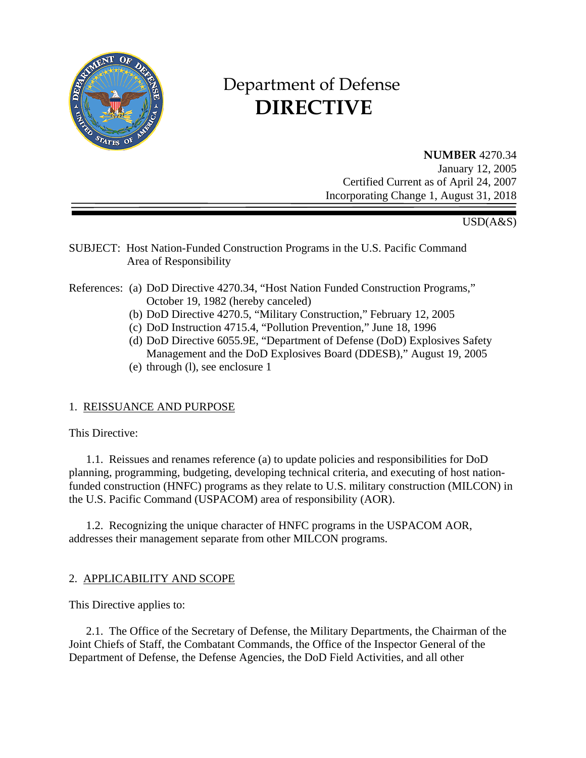

# Department of Defense  **DIRECTIVE**

**NUMBER** 4270.34 January 12, 2005 Certified Current as of April 24, 2007 Incorporating Change 1, August 31, 2018

# USD(A&S)

SUBJECT: Host Nation-Funded Construction Programs in the U.S. Pacific Command Area of Responsibility

### References: (a) DoD Directive 4270.34, "Host Nation Funded Construction Programs," October 19, 1982 (hereby canceled)

- (b) DoD Directive 4270.5, "Military Construction," February 12, 2005
- (c) DoD Instruction 4715.4, "Pollution Prevention," June 18, 1996
- (d) DoD Directive 6055.9E, "Department of Defense (DoD) Explosives Safety Management and the DoD Explosives Board (DDESB)," August 19, 2005
- (e) through (l), see enclosure 1

# 1. REISSUANCE AND PURPOSE

This Directive:

1.1. Reissues and renames reference (a) to update policies and responsibilities for DoD planning, programming, budgeting, developing technical criteria, and executing of host nationfunded construction (HNFC) programs as they relate to U.S. military construction (MILCON) in the U.S. Pacific Command (USPACOM) area of responsibility (AOR).

1.2. Recognizing the unique character of HNFC programs in the USPACOM AOR, addresses their management separate from other MILCON programs.

# 2. APPLICABILITY AND SCOPE

This Directive applies to:

2.1. The Office of the Secretary of Defense, the Military Departments, the Chairman of the Joint Chiefs of Staff, the Combatant Commands, the Office of the Inspector General of the Department of Defense, the Defense Agencies, the DoD Field Activities, and all other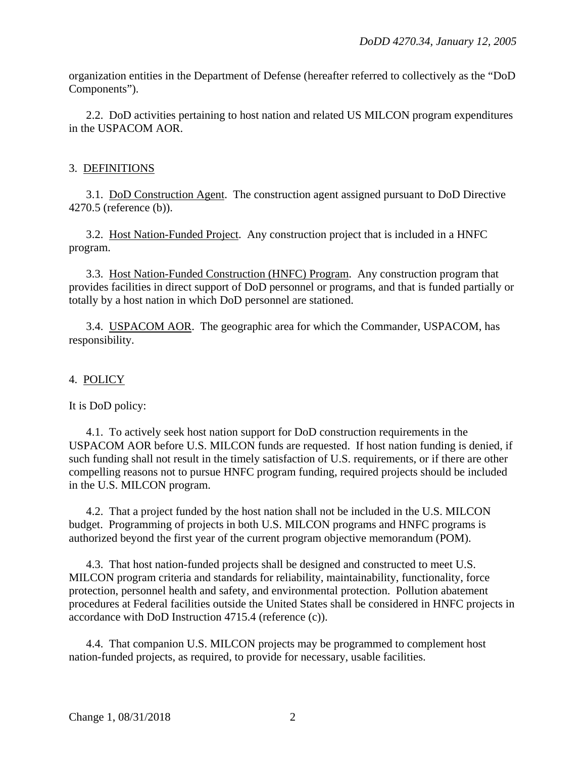organization entities in the Department of Defense (hereafter referred to collectively as the "DoD Components").

2.2. DoD activities pertaining to host nation and related US MILCON program expenditures in the USPACOM AOR.

## 3. DEFINITIONS

3.1. DoD Construction Agent. The construction agent assigned pursuant to DoD Directive 4270.5 (reference (b)).

3.2. Host Nation-Funded Project. Any construction project that is included in a HNFC program.

3.3. Host Nation-Funded Construction (HNFC) Program. Any construction program that provides facilities in direct support of DoD personnel or programs, and that is funded partially or totally by a host nation in which DoD personnel are stationed.

3.4. USPACOM AOR. The geographic area for which the Commander, USPACOM, has responsibility.

### 4. POLICY

It is DoD policy:

4.1. To actively seek host nation support for DoD construction requirements in the USPACOM AOR before U.S. MILCON funds are requested. If host nation funding is denied, if such funding shall not result in the timely satisfaction of U.S. requirements, or if there are other compelling reasons not to pursue HNFC program funding, required projects should be included in the U.S. MILCON program.

4.2. That a project funded by the host nation shall not be included in the U.S. MILCON budget. Programming of projects in both U.S. MILCON programs and HNFC programs is authorized beyond the first year of the current program objective memorandum (POM).

4.3. That host nation-funded projects shall be designed and constructed to meet U.S. MILCON program criteria and standards for reliability, maintainability, functionality, force protection, personnel health and safety, and environmental protection. Pollution abatement procedures at Federal facilities outside the United States shall be considered in HNFC projects in accordance with DoD Instruction 4715.4 (reference (c)).

4.4. That companion U.S. MILCON projects may be programmed to complement host nation-funded projects, as required, to provide for necessary, usable facilities.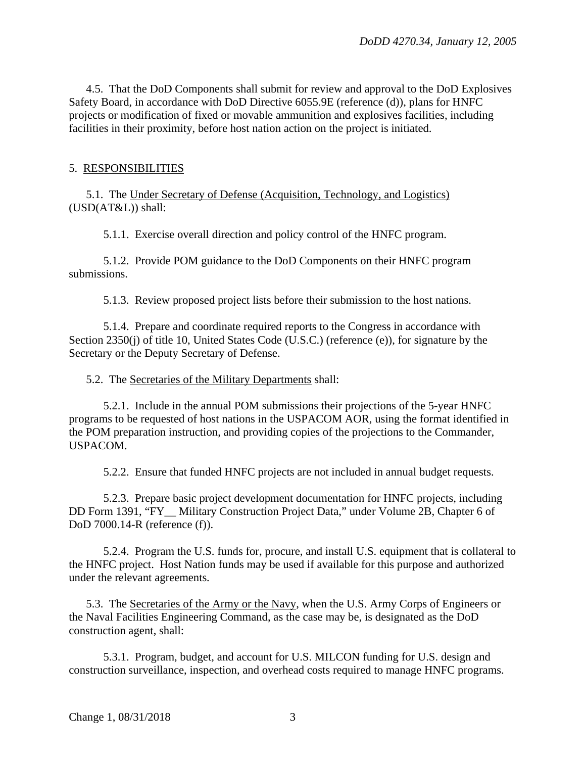4.5. That the DoD Components shall submit for review and approval to the DoD Explosives Safety Board, in accordance with DoD Directive 6055.9E (reference (d)), plans for HNFC projects or modification of fixed or movable ammunition and explosives facilities, including facilities in their proximity, before host nation action on the project is initiated.

### 5. RESPONSIBILITIES

5.1. The Under Secretary of Defense (Acquisition, Technology, and Logistics) (USD(AT&L)) shall:

5.1.1. Exercise overall direction and policy control of the HNFC program.

5.1.2. Provide POM guidance to the DoD Components on their HNFC program submissions.

5.1.3. Review proposed project lists before their submission to the host nations.

5.1.4. Prepare and coordinate required reports to the Congress in accordance with Section 2350(j) of title 10, United States Code (U.S.C.) (reference (e)), for signature by the Secretary or the Deputy Secretary of Defense.

#### 5.2. The Secretaries of the Military Departments shall:

5.2.1. Include in the annual POM submissions their projections of the 5-year HNFC programs to be requested of host nations in the USPACOM AOR, using the format identified in the POM preparation instruction, and providing copies of the projections to the Commander, USPACOM.

5.2.2. Ensure that funded HNFC projects are not included in annual budget requests.

5.2.3. Prepare basic project development documentation for HNFC projects, including DD Form 1391, "FY Military Construction Project Data," under Volume 2B, Chapter 6 of DoD 7000.14-R (reference (f)).

5.2.4. Program the U.S. funds for, procure, and install U.S. equipment that is collateral to the HNFC project. Host Nation funds may be used if available for this purpose and authorized under the relevant agreements*.*

5.3. The Secretaries of the Army or the Navy, when the U.S. Army Corps of Engineers or the Naval Facilities Engineering Command, as the case may be, is designated as the DoD construction agent, shall:

5.3.1. Program, budget, and account for U.S. MILCON funding for U.S. design and construction surveillance, inspection, and overhead costs required to manage HNFC programs.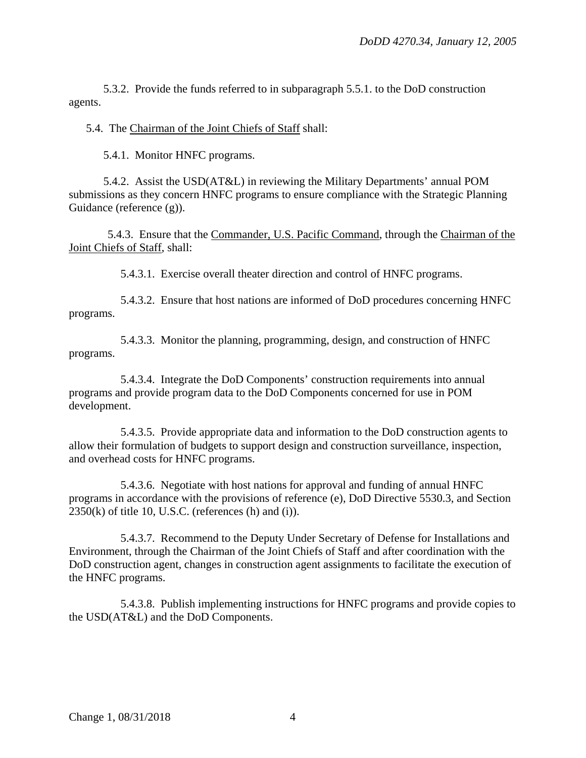5.3.2. Provide the funds referred to in subparagraph 5.5.1. to the DoD construction agents.

5.4. The Chairman of the Joint Chiefs of Staff shall:

5.4.1. Monitor HNFC programs.

5.4.2. Assist the USD(AT&L) in reviewing the Military Departments' annual POM submissions as they concern HNFC programs to ensure compliance with the Strategic Planning Guidance (reference (g)).

5.4.3. Ensure that the Commander, U.S. Pacific Command, through the Chairman of the Joint Chiefs of Staff, shall:

5.4.3.1. Exercise overall theater direction and control of HNFC programs.

5.4.3.2. Ensure that host nations are informed of DoD procedures concerning HNFC programs.

5.4.3.3. Monitor the planning, programming, design, and construction of HNFC programs.

5.4.3.4. Integrate the DoD Components' construction requirements into annual programs and provide program data to the DoD Components concerned for use in POM development.

5.4.3.5. Provide appropriate data and information to the DoD construction agents to allow their formulation of budgets to support design and construction surveillance, inspection, and overhead costs for HNFC programs.

5.4.3.6. Negotiate with host nations for approval and funding of annual HNFC programs in accordance with the provisions of reference (e), DoD Directive 5530.3, and Section  $2350(k)$  of title 10, U.S.C. (references (h) and (i)).

5.4.3.7. Recommend to the Deputy Under Secretary of Defense for Installations and Environment, through the Chairman of the Joint Chiefs of Staff and after coordination with the DoD construction agent, changes in construction agent assignments to facilitate the execution of the HNFC programs.

5.4.3.8. Publish implementing instructions for HNFC programs and provide copies to the USD(AT&L) and the DoD Components.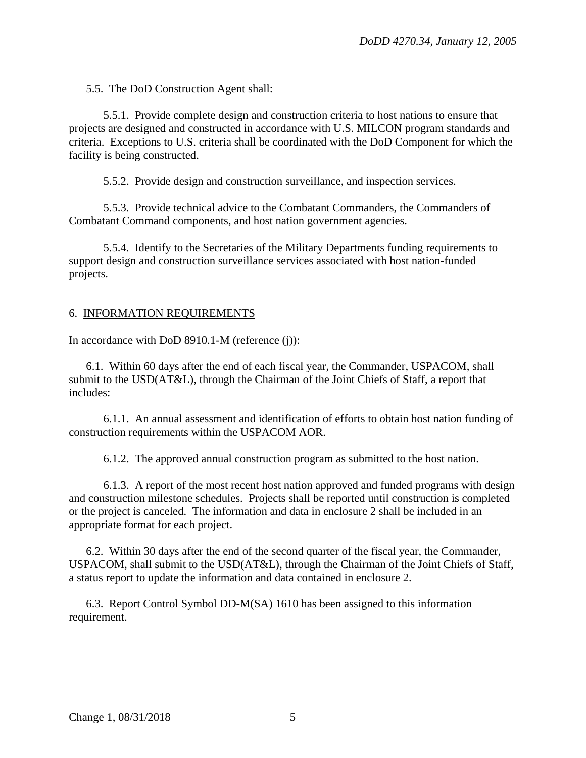5.5. The DoD Construction Agent shall:

5.5.1. Provide complete design and construction criteria to host nations to ensure that projects are designed and constructed in accordance with U.S. MILCON program standards and criteria. Exceptions to U.S. criteria shall be coordinated with the DoD Component for which the facility is being constructed.

5.5.2. Provide design and construction surveillance, and inspection services.

5.5.3. Provide technical advice to the Combatant Commanders, the Commanders of Combatant Command components, and host nation government agencies.

5.5.4. Identify to the Secretaries of the Military Departments funding requirements to support design and construction surveillance services associated with host nation-funded projects.

#### 6. INFORMATION REQUIREMENTS

In accordance with DoD 8910.1-M (reference (j)):

6.1. Within 60 days after the end of each fiscal year, the Commander, USPACOM, shall submit to the USD(AT&L), through the Chairman of the Joint Chiefs of Staff, a report that includes:

6.1.1. An annual assessment and identification of efforts to obtain host nation funding of construction requirements within the USPACOM AOR.

6.1.2. The approved annual construction program as submitted to the host nation.

6.1.3. A report of the most recent host nation approved and funded programs with design and construction milestone schedules. Projects shall be reported until construction is completed or the project is canceled. The information and data in enclosure 2 shall be included in an appropriate format for each project.

6.2. Within 30 days after the end of the second quarter of the fiscal year, the Commander, USPACOM, shall submit to the USD(AT&L), through the Chairman of the Joint Chiefs of Staff, a status report to update the information and data contained in enclosure 2.

6.3. Report Control Symbol DD-M(SA) 1610 has been assigned to this information requirement.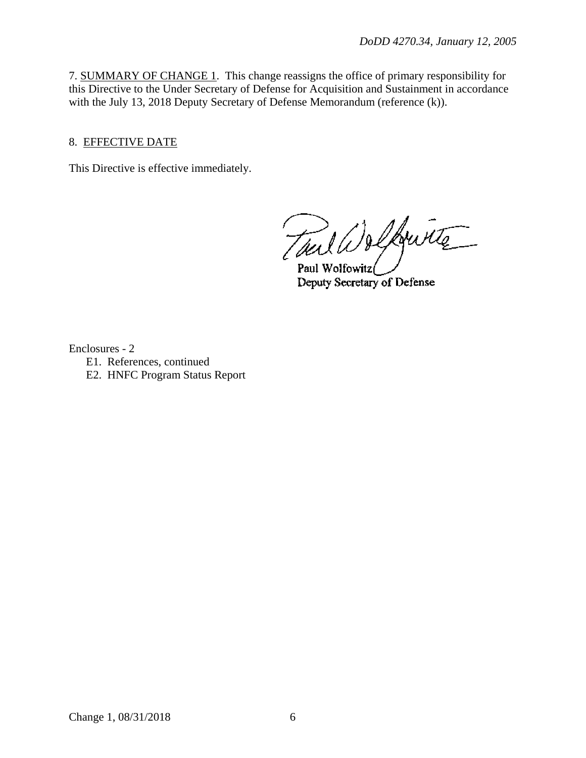7. SUMMARY OF CHANGE 1. This change reassigns the office of primary responsibility for this Directive to the Under Secretary of Defense for Acquisition and Sustainment in accordance with the July 13, 2018 Deputy Secretary of Defense Memorandum (reference (k)).

# 8. EFFECTIVE DATE

This Directive is effective immediately.

Tout Welfourte

Paul Wolfowitz Deputy Secretary of Defense

Enclosures - 2

- E1. References, continued
- E2. HNFC Program Status Report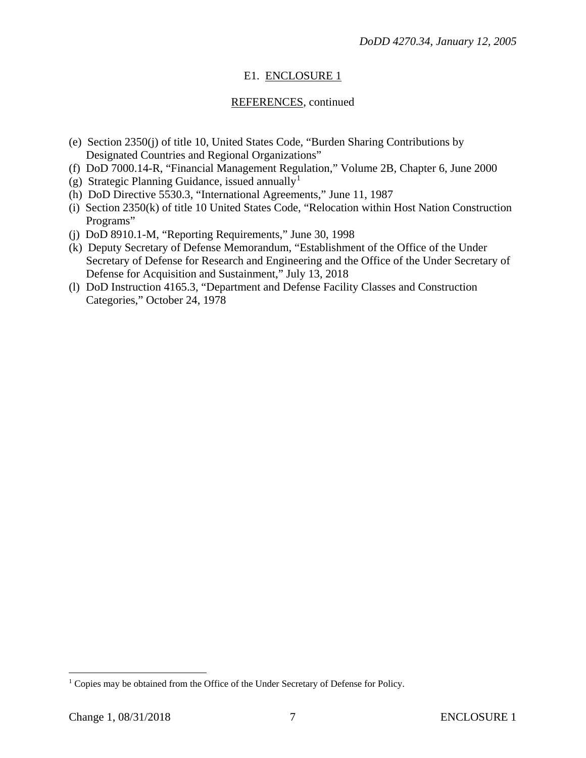# E1. ENCLOSURE 1

# REFERENCES, continued

- (e) Section 2350(j) of title 10, United States Code, "Burden Sharing Contributions by Designated Countries and Regional Organizations"
- (f) DoD 7000.14-R, "Financial Management Regulation," Volume 2B, Chapter 6, June 2000
- (g) Strategic Planning Guidance, issued annually<sup>[1](#page-6-0)</sup>
- (h) DoD Directive 5530.3, "International Agreements," June 11, 1987
- (i) Section 2350(k) of title 10 United States Code, "Relocation within Host Nation Construction Programs"
- (j) DoD 8910.1-M, "Reporting Requirements," June 30, 1998
- (k) Deputy Secretary of Defense Memorandum, "Establishment of the Office of the Under Secretary of Defense for Research and Engineering and the Office of the Under Secretary of Defense for Acquisition and Sustainment," July 13, 2018
- (l) DoD Instruction 4165.3, "Department and Defense Facility Classes and Construction Categories," October 24, 1978

<span id="page-6-0"></span><sup>&</sup>lt;sup>1</sup> Copies may be obtained from the Office of the Under Secretary of Defense for Policy.